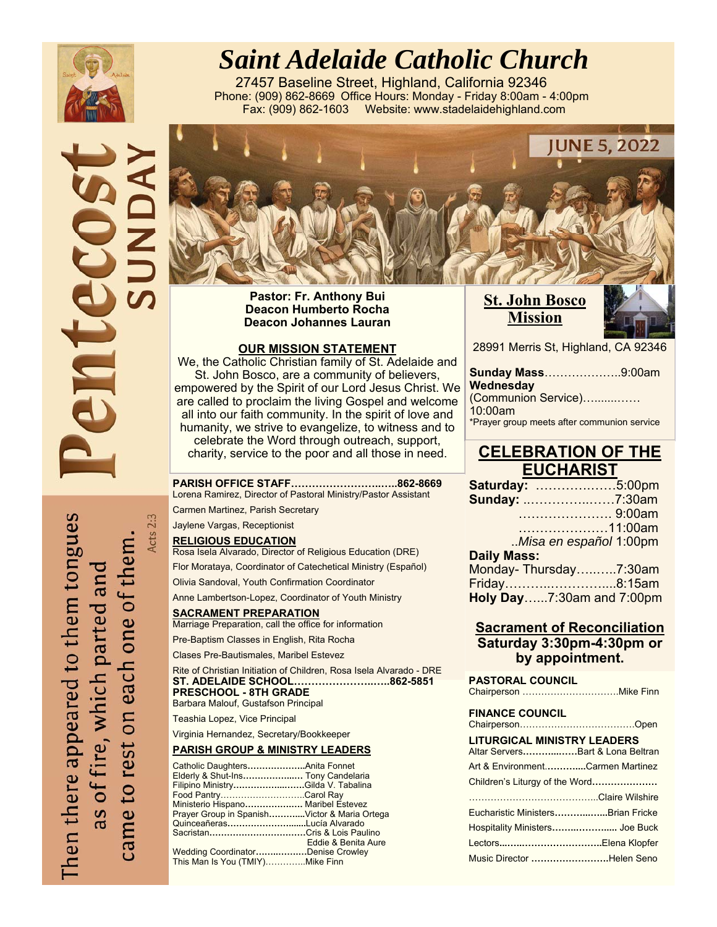

# *Saint Adelaide Catholic Church*

27457 Baseline Street, Highland, California 92346 Phone: (909) 862-8669 Office Hours: Monday - Friday 8:00am - 4:00pm Fax: (909) 862-1603 Website: www.stadelaidehighland.com





**Pastor: Fr. Anthony Bui Deacon Humberto Rocha Deacon Johannes Lauran** 

#### **OUR MISSION STATEMENT**

We, the Catholic Christian family of St. Adelaide and St. John Bosco, are a community of believers, empowered by the Spirit of our Lord Jesus Christ. We are called to proclaim the living Gospel and welcome all into our faith community. In the spirit of love and humanity, we strive to evangelize, to witness and to celebrate the Word through outreach, support, charity, service to the poor and all those in need.

**PARISH OFFICE STAFF……………………..…..862-8669**  Lorena Ramirez, Director of Pastoral Ministry/Pastor Assistant

Carmen Martinez, Parish Secretary

Jaylene Vargas, Receptionist

Acts 2:3

**RELIGIOUS EDUCATION**

Rosa Isela Alvarado, Director of Religious Education (DRE)

Flor Morataya, Coordinator of Catechetical Ministry (Español)

Olivia Sandoval, Youth Confirmation Coordinator

Anne Lambertson-Lopez, Coordinator of Youth Ministry

**SACRAMENT PREPARATION**  Marriage Preparation, call the office for information

Pre-Baptism Classes in English, Rita Rocha

Clases Pre-Bautismales, Maribel Estevez

Rite of Christian Initiation of Children, Rosa Isela Alvarado - DRE **ST. ADELAIDE SCHOOL…………………..…..862-5851 PRESCHOOL - 8TH GRADE** 

Barbara Malouf, Gustafson Principal

Teashia Lopez, Vice Principal

Virginia Hernandez, Secretary/Bookkeeper

#### **PARISH GROUP & MINISTRY LEADERS**

| Catholic DaughtersAnita Fonnet               |                     |
|----------------------------------------------|---------------------|
| Elderly & Shut-Ins Tony Candelaria           |                     |
| Filipino MinistryGilda V. Tabalina           |                     |
| Food PantryCarol Ray                         |                     |
| Ministerio Hispano Maribel Estevez           |                     |
| Prayer Group in SpanishVictor & Maria Ortega |                     |
| QuinceañerasLucía Alvarado                   |                     |
| Sacristan…………………………Cris & Lois Paulino       |                     |
|                                              | Eddie & Benita Aure |
| Wedding CoordinatorDenise Crowley            |                     |
| This Man Is You (TMIY)Mike Finn              |                     |
|                                              |                     |

**St. John Bosco Mission** 



28991 Merris St, Highland, CA 92346

| <b>Sunday Mass9:00am</b>                    |
|---------------------------------------------|
|                                             |
| (Communion Service)                         |
|                                             |
| *Prayer group meets after communion service |
|                                             |

### **CELEBRATION OF THE EUCHARIST**

| Saturday: 5:00pm          |  |
|---------------------------|--|
| <b>Sunday: 7:30am</b>     |  |
| 9:00am                    |  |
| 11:00am                   |  |
| Misa en español 1:00pm    |  |
| <b>Daily Mass:</b>        |  |
| Monday-Thursday7:30am     |  |
| Friday8:15am              |  |
| Holy Day7:30am and 7:00pm |  |

### **Sacrament of Reconciliation Saturday 3:30pm-4:30pm or by appointment.**

**PASTORAL COUNCIL**  Chairperson ………………………….Mike Finn **FINANCE COUNCIL** Chairperson……………………………….Open **LITURGICAL MINISTRY LEADERS** Altar Servers**………...……**Bart & Lona Beltran Art & Environment.**………....**Carmen Martinez Children's Liturgy of the Word**…………………**  …………………………………...Claire Wilshire Eucharistic Ministers**………...…...**Brian Fricke Hospitality Ministers**……..……….....** Joe Buck Lectors**...…..……………………..**Elena Klopfer

Music Director **…………………….**Helen Seno

Then there appeared to them tongues came to rest on each one of them as of fire, which parted and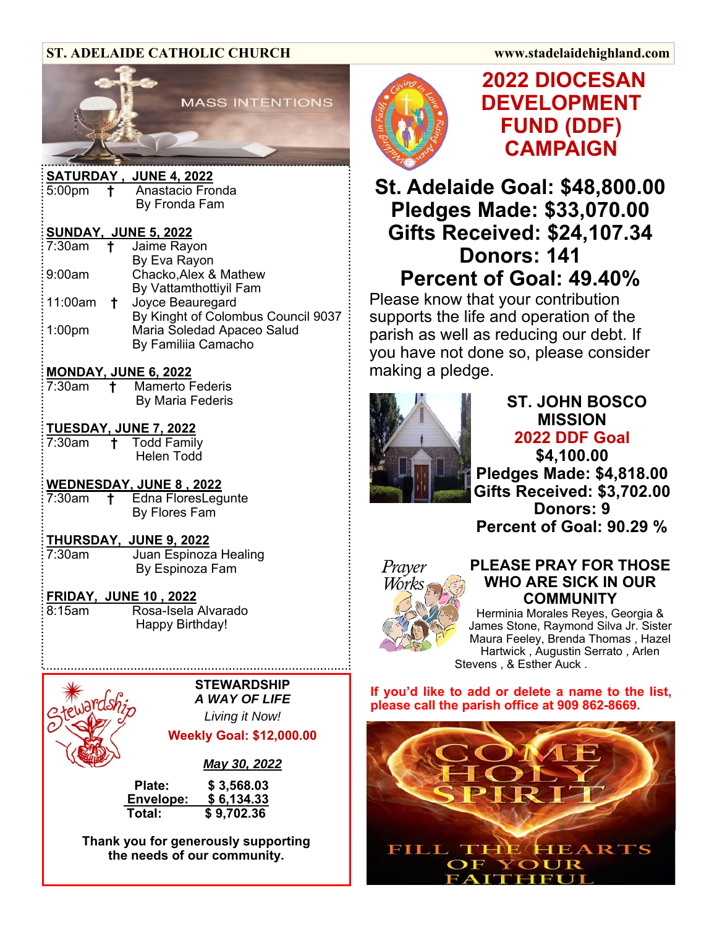### **ST. ADELAIDE CATHOLIC CHURCH www.stadelaidehighland.com**



|                              |    | <u> SATURDAY , JUNE 4, 2022</u>    |  |  |  |
|------------------------------|----|------------------------------------|--|--|--|
| $:5:00$ pm                   |    | <b>t</b> Anastacio Fronda          |  |  |  |
|                              |    | By Fronda Fam                      |  |  |  |
| <b>SUNDAY, JUNE 5, 2022:</b> |    |                                    |  |  |  |
|                              |    | $:7:30$ am $\dagger$ Jaime Rayon   |  |  |  |
|                              |    | By Eva Rayon                       |  |  |  |
| : 9:00am                     |    | Chacko, Alex & Mathew              |  |  |  |
|                              |    | By Vattamthottiyil Fam             |  |  |  |
| : 11:00am                    | t. | Joyce Beauregard                   |  |  |  |
|                              |    | By Kinght of Colombus Council 9037 |  |  |  |
| : 1:00pm                     |    | Maria Soledad Apaceo Salud         |  |  |  |
|                              |    | By Familiia Camacho                |  |  |  |

### **MONDAY, JUNE 6, 2022**

| 7:30am | <b>Mamerto Federis</b> |
|--------|------------------------|
|        | By Maria Federis       |

### **TUESDAY, JUNE 7, 2022**

7:30am **†** Todd Family Helen Todd

### **WEDNESDAY, JUNE 8 , 2022**

7:30am **†** Edna FloresLegunte By Flores Fam

### **THURSDAY, JUNE 9, 2022**

7:30am Juan Espinoza Healing By Espinoza Fam

### **FRIDAY, JUNE 10 , 2022**

8:15am Rosa-Isela Alvarado Happy Birthday!

**STEWARDSHIP**  *A WAY OF LIFE* 

*Living it Now!* 

### **Weekly Goal: \$12,000.00**

*May 30, 2022* 

 **Plate: \$ 3,568.03 Envelope: \$ 6,134.33 Total: \$ 9,702.36** 

**Thank you for generously supporting the needs of our community.** 



# **2022 DIOCESAN DEVELOPMENT FUND (DDF) CAMPAIGN**

**St. Adelaide Goal: \$48,800.00 Pledges Made: \$33,070.00 Gifts Received: \$24,107.34 Donors: 141 Percent of Goal: 49.40%** 

Please know that your contribution supports the life and operation of the parish as well as reducing our debt. If you have not done so, please consider making a pledge.



# **ST. JOHN BOSCO MISSION 2022 DDF Goal**

**\$4,100.00 Pledges Made: \$4,818.00 Gifts Received: \$3,702.00 Donors: 9 Percent of Goal: 90.29 %** 



### **PLEASE PRAY FOR THOSE WHO ARE SICK IN OUR COMMUNITY**

Herminia Morales Reyes, Georgia & James Stone, Raymond Silva Jr. Sister Maura Feeley, Brenda Thomas , Hazel Hartwick , Augustin Serrato , Arlen Stevens , & Esther Auck .

**If you'd like to add or delete a name to the list, please call the parish office at 909 862-8669.** 

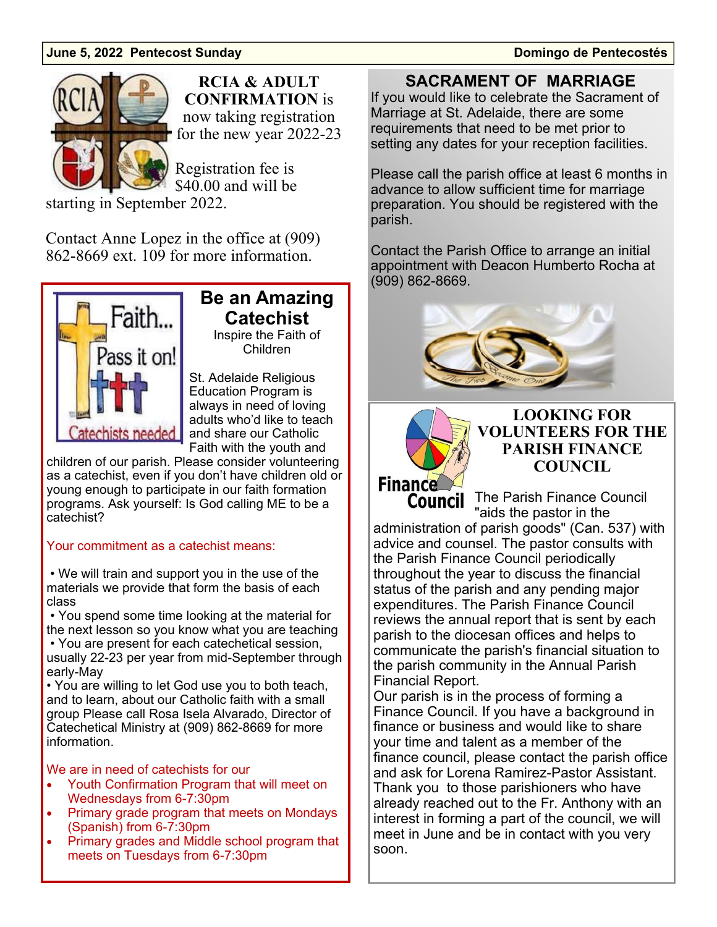### **June 5, 2022 Pentecost Sunday Domingo de Pentecostés**



**RCIA & ADULT CONFIRMATION** is now taking registration for the new year 2022-23

Registration fee is \$40.00 and will be

starting in September 2022.

Contact Anne Lopez in the office at (909) 862-8669 ext. 109 for more information.



### **Be an Amazing Catechist**  Inspire the Faith of Children

St. Adelaide Religious Education Program is always in need of loving adults who'd like to teach and share our Catholic Faith with the youth and

children of our parish. Please consider volunteering as a catechist, even if you don't have children old or young enough to participate in our faith formation programs. Ask yourself: Is God calling ME to be a catechist?

### Your commitment as a catechist means:

 • We will train and support you in the use of the materials we provide that form the basis of each class

 • You spend some time looking at the material for the next lesson so you know what you are teaching

 • You are present for each catechetical session, usually 22-23 per year from mid-September through early-May

• You are willing to let God use you to both teach, and to learn, about our Catholic faith with a small group Please call Rosa Isela Alvarado, Director of Catechetical Ministry at (909) 862-8669 for more information.

### We are in need of catechists for our

- Youth Confirmation Program that will meet on Wednesdays from 6-7:30pm
- Primary grade program that meets on Mondays (Spanish) from 6-7:30pm
- Primary grades and Middle school program that meets on Tuesdays from 6-7:30pm

**SACRAMENT OF MARRIAGE** 

If you would like to celebrate the Sacrament of Marriage at St. Adelaide, there are some requirements that need to be met prior to setting any dates for your reception facilities.

Please call the parish office at least 6 months in advance to allow sufficient time for marriage preparation. You should be registered with the parish.

Contact the Parish Office to arrange an initial appointment with Deacon Humberto Rocha at (909) 862-8669.





**LOOKING FOR VOLUNTEERS FOR THE PARISH FINANCE COUNCIL** 

Council The Parish Finance Council "aids the pastor in the administration of parish goods" (Can. 537) with advice and counsel. The pastor consults with the Parish Finance Council periodically throughout the year to discuss the financial status of the parish and any pending major expenditures. The Parish Finance Council reviews the annual report that is sent by each parish to the diocesan offices and helps to communicate the parish's financial situation to the parish community in the Annual Parish Financial Report.

Our parish is in the process of forming a Finance Council. If you have a background in finance or business and would like to share your time and talent as a member of the finance council, please contact the parish office and ask for Lorena Ramirez-Pastor Assistant. Thank you to those parishioners who have already reached out to the Fr. Anthony with an interest in forming a part of the council, we will meet in June and be in contact with you very soon.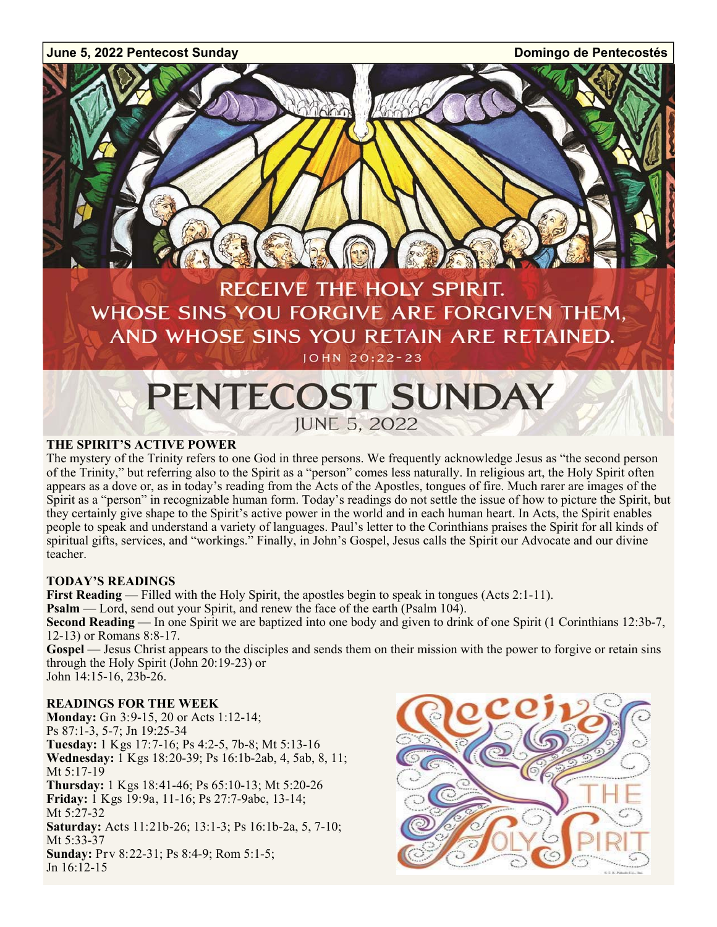

# **PENTECOST SUNDAY JUNE 5, 2022**

### **THE SPIRIT'S ACTIVE POWER**

The mystery of the Trinity refers to one God in three persons. We frequently acknowledge Jesus as "the second person of the Trinity," but referring also to the Spirit as a "person" comes less naturally. In religious art, the Holy Spirit often appears as a dove or, as in today's reading from the Acts of the Apostles, tongues of fire. Much rarer are images of the Spirit as a "person" in recognizable human form. Today's readings do not settle the issue of how to picture the Spirit, but they certainly give shape to the Spirit's active power in the world and in each human heart. In Acts, the Spirit enables people to speak and understand a variety of languages. Paul's letter to the Corinthians praises the Spirit for all kinds of spiritual gifts, services, and "workings." Finally, in John's Gospel, Jesus calls the Spirit our Advocate and our divine teacher.

### **TODAY'S READINGS**

**First Reading** — Filled with the Holy Spirit, the apostles begin to speak in tongues (Acts 2:1-11).

**Psalm** — Lord, send out your Spirit, and renew the face of the earth (Psalm 104).

**Second Reading** — In one Spirit we are baptized into one body and given to drink of one Spirit (1 Corinthians 12:3b-7, 12-13) or Romans 8:8-17.

Gospel — Jesus Christ appears to the disciples and sends them on their mission with the power to forgive or retain sins through the Holy Spirit (John 20:19-23) or John 14:15-16, 23b-26.

### **READINGS FOR THE WEEK**

**Monday:** Gn 3:9-15, 20 or Acts 1:12-14; Ps 87:1-3, 5-7; Jn 19:25-34 **Tuesday:** 1 Kgs 17:7-16; Ps 4:2-5, 7b-8; Mt 5:13-16 **Wednesday:** 1 Kgs 18:20-39; Ps 16:1b-2ab, 4, 5ab, 8, 11; Mt 5:17-19 **Thursday:** 1 Kgs 18:41-46; Ps 65:10-13; Mt 5:20-26 **Friday:** 1 Kgs 19:9a, 11-16; Ps 27:7-9abc, 13-14; Mt 5:27-32 **Saturday:** Acts 11:21b-26; 13:1-3; Ps 16:1b-2a, 5, 7-10; Mt 5:33-37 **Sunday:** Prv 8:22-31; Ps 8:4-9; Rom 5:1-5; Jn 16:12-15

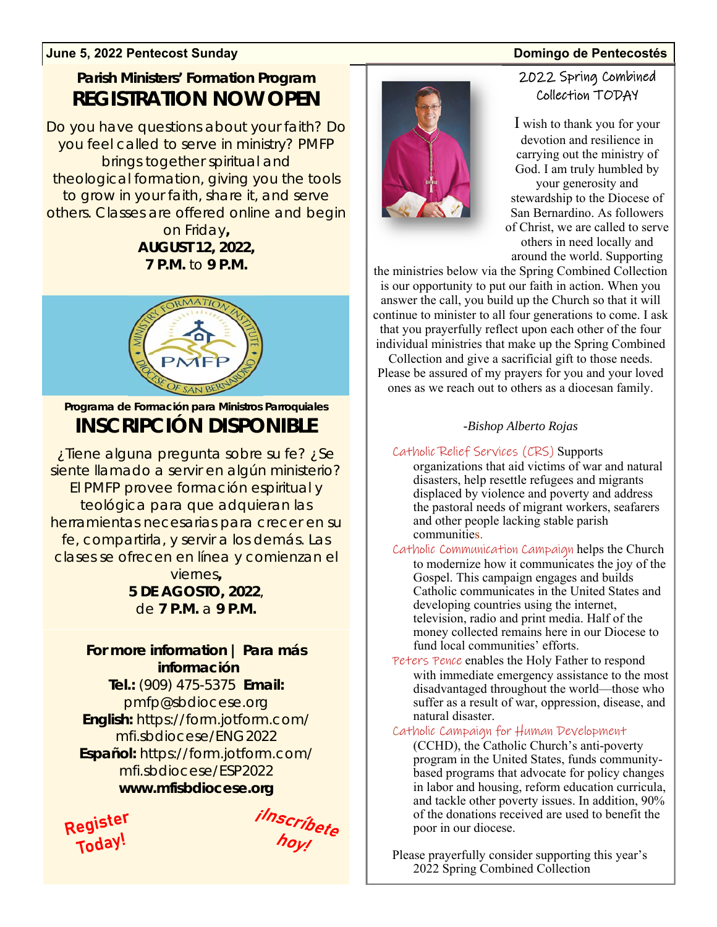### **June 5, 2022 Pentecost Sunday Domingo de Pentecostés**

# **Parish Ministers' Formation Program REGISTRATION NOW OPEN**

Do you have questions about your faith? Do you feel called to serve in ministry? PMFP brings together spiritual and theological formation, giving you the tools to grow in your faith, share it, and serve others. Classes are offered online and begin

### on Friday**, AUGUST 12, 2022, 7 P.M.** to **9 P.M.**



*Programa de Formación para Ministros Parroquiales INSCRIPCIÓN DISPONIBLE* 

*¿Tiene alguna pregunta sobre su fe? ¿Se siente llamado a servir en algún ministerio? El PMFP provee formación espiritual y teológica para que adquieran las herramientas necesarias para crecer en su fe, compartirla, y servir a los demás. Las clases se ofrecen en línea y comienzan el viernes, 5 DE AGOSTO, 2022,* 

*de 7 P.M. a 9 P.M.* 

# **For more information** *| Para más información*

**Tel.:** (909) 475-5375 **Email:**  pmfp@sbdiocese.org **English:** https://form.jotform.com/ mfi.sbdiocese/ENG2022 *Español: https://form.jotform.com/ mfi.sbdiocese/ESP2022*

**www.mfisbdiocese.org** 

Register Today

ilnscríbete<br>hoy!



# 2022 Spring Combined Collection TODAY

I wish to thank you for your devotion and resilience in carrying out the ministry of God. I am truly humbled by your generosity and stewardship to the Diocese of San Bernardino. As followers of Christ, we are called to serve others in need locally and around the world. Supporting

the ministries below via the Spring Combined Collection is our opportunity to put our faith in action. When you answer the call, you build up the Church so that it will continue to minister to all four generations to come. I ask that you prayerfully reflect upon each other of the four individual ministries that make up the Spring Combined

Collection and give a sacrificial gift to those needs. Please be assured of my prayers for you and your loved ones as we reach out to others as a diocesan family.

### *-Bishop Alberto Rojas*

Catholic Relief Services (CRS) Supports organizations that aid victims of war and natural disasters, help resettle refugees and migrants displaced by violence and poverty and address the pastoral needs of migrant workers, seafarers and other people lacking stable parish communities.

- Catholic Communication Campaign helps the Church to modernize how it communicates the joy of the Gospel. This campaign engages and builds Catholic communicates in the United States and developing countries using the internet, television, radio and print media. Half of the money collected remains here in our Diocese to fund local communities' efforts.
- Peters Pence enables the Holy Father to respond with immediate emergency assistance to the most disadvantaged throughout the world—those who suffer as a result of war, oppression, disease, and natural disaster.

### Catholic Campaign for Human Development

(CCHD), the Catholic Church's anti-poverty program in the United States, funds communitybased programs that advocate for policy changes in labor and housing, reform education curricula, and tackle other poverty issues. In addition, 90% of the donations received are used to benefit the poor in our diocese.

Please prayerfully consider supporting this year's 2022 Spring Combined Collection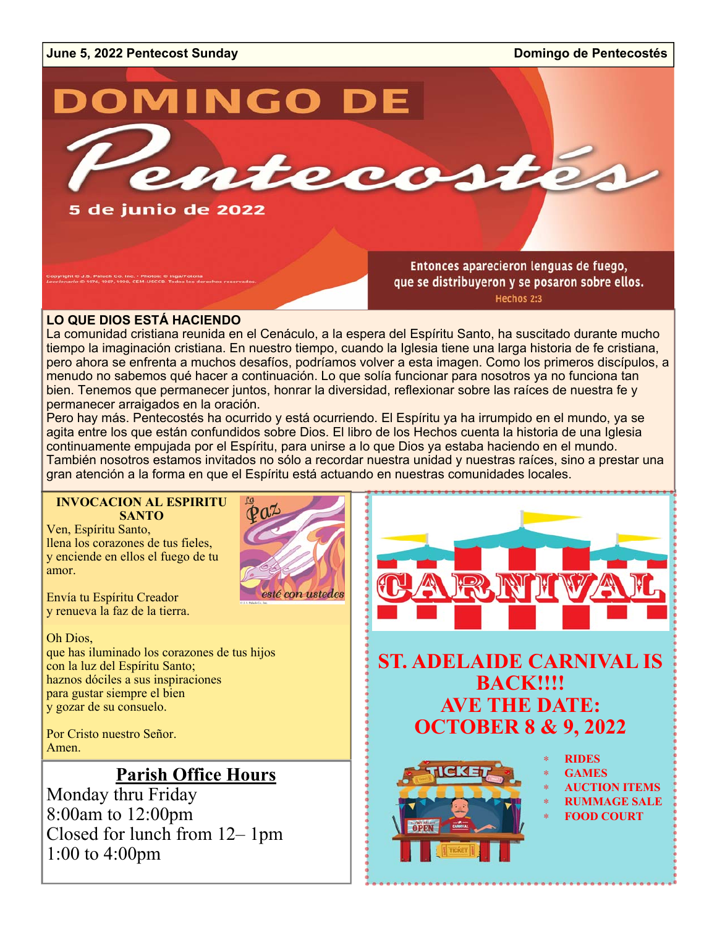# **June 5, 2022 Pentecost Sunday Domingo de Pentecostés DOMINGO DE** ntecosté 5 de junio de 2022 Entonces aparecieron lenguas de fuego, S. Paluch Co. Inc. - Photos: © inga/Fotolia<br>1976. 1987. 1998. CEM-USCCB. Todos los de que se distribuyeron y se posaron sobre ellos.

Hechos 2:3

### **LO QUE DIOS ESTÁ HACIENDO**

La comunidad cristiana reunida en el Cenáculo, a la espera del Espíritu Santo, ha suscitado durante mucho tiempo la imaginación cristiana. En nuestro tiempo, cuando la Iglesia tiene una larga historia de fe cristiana, pero ahora se enfrenta a muchos desafíos, podríamos volver a esta imagen. Como los primeros discípulos, a menudo no sabemos qué hacer a continuación. Lo que solía funcionar para nosotros ya no funciona tan bien. Tenemos que permanecer juntos, honrar la diversidad, reflexionar sobre las raíces de nuestra fe y permanecer arraigados en la oración.

Pero hay más. Pentecostés ha ocurrido y está ocurriendo. El Espíritu ya ha irrumpido en el mundo, ya se agita entre los que están confundidos sobre Dios. El libro de los Hechos cuenta la historia de una Iglesia continuamente empujada por el Espíritu, para unirse a lo que Dios ya estaba haciendo en el mundo. También nosotros estamos invitados no sólo a recordar nuestra unidad y nuestras raíces, sino a prestar una gran atención a la forma en que el Espíritu está actuando en nuestras comunidades locales.

### **INVOCACION AL ESPIRITU SANTO**

Ven, Espíritu Santo, llena los corazones de tus fieles, y enciende en ellos el fuego de tu amor.

Envía tu Espíritu Creador y renueva la faz de la tierra.

Oh Dios,

que has iluminado los corazones de tus hijos con la luz del Espíritu Santo; haznos dóciles a sus inspiraciones para gustar siempre el bien y gozar de su consuelo.

Por Cristo nuestro Señor. Amen.

# **Parish Office Hours**

Monday thru Friday 8:00am to 12:00pm Closed for lunch from 12– 1pm 1:00 to 4:00pm



# **ST. ADELAIDE CARNIVAL IS BACK!!!! AVE THE DATE: OCTOBER 8 & 9, 2022**



- ∗ **RIDES**
- ∗ **GAMES**
- ∗ **AUCTION ITEMS RUMMAGE SALE**
- ∗ **FOOD COURT**